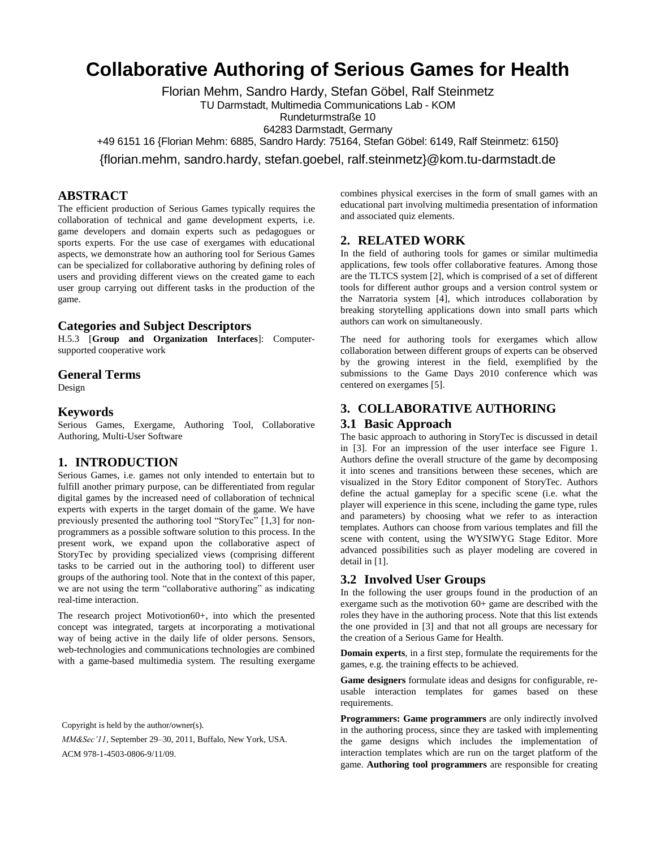# **Collaborative Authoring of Serious Games for Health**

Florian Mehm, Sandro Hardy, Stefan Göbel, Ralf Steinmetz

TU Darmstadt, Multimedia Communications Lab - KOM

Rundeturmstraße 10 64283 Darmstadt, Germany

+49 6151 16 {Florian Mehm: 6885, Sandro Hardy: 75164, Stefan Göbel: 6149, Ralf Steinmetz: 6150}

{florian.mehm, sandro.hardy, stefan.goebel, ralf.steinmetz}@kom.tu-darmstadt.de

# **ABSTRACT**

The efficient production of Serious Games typically requires the collaboration of technical and game development experts, i.e. game developers and domain experts such as pedagogues or sports experts. For the use case of exergames with educational aspects, we demonstrate how an authoring tool for Serious Games can be specialized for collaborative authoring by defining roles of users and providing different views on the created game to each user group carrying out different tasks in the production of the game.

## **Categories and Subject Descriptors**

H.5.3 [**Group and Organization Interfaces**]: Computersupported cooperative work

#### **General Terms**

Design

#### **Keywords**

Serious Games, Exergame, Authoring Tool, Collaborative Authoring, Multi-User Software

# **1. INTRODUCTION**

Serious Games, i.e. games not only intended to entertain but to fulfill another primary purpose, can be differentiated from regular digital games by the increased need of collaboration of technical experts with experts in the target domain of the game. We have previously presented the authoring tool "StoryTec" [1,3] for nonprogrammers as a possible software solution to this process. In the present work, we expand upon the collaborative aspect of StoryTec by providing specialized views (comprising different tasks to be carried out in the authoring tool) to different user groups of the authoring tool. Note that in the context of this paper, we are not using the term "collaborative authoring" as indicating real-time interaction.

The research project Motivotion60+, into which the presented concept was integrated, targets at incorporating a motivational way of being active in the daily life of older persons. Sensors, web-technologies and communications technologies are combined with a game-based multimedia system. The resulting exergame

Copyright is held by the author/owner(s).

*MM&Sec'11*, September 29–30, 2011, Buffalo, New York, USA. ACM 978-1-4503-0806-9/11/09.

combines physical exercises in the form of small games with an educational part involving multimedia presentation of information and associated quiz elements.

## **2. RELATED WORK**

In the field of authoring tools for games or similar multimedia applications, few tools offer collaborative features. Among those are the TLTCS system [2], which is comprised of a set of different tools for different author groups and a version control system or the Narratoria system [4], which introduces collaboration by breaking storytelling applications down into small parts which authors can work on simultaneously.

The need for authoring tools for exergames which allow collaboration between different groups of experts can be observed by the growing interest in the field, exemplified by the submissions to the Game Days 2010 conference which was centered on exergames [5].

## **3. COLLABORATIVE AUTHORING**

#### **3.1 Basic Approach**

The basic approach to authoring in StoryTec is discussed in detail in [3]. For an impression of the user interface see Figure 1. Authors define the overall structure of the game by decomposing it into scenes and transitions between these secenes, which are visualized in the Story Editor component of StoryTec. Authors define the actual gameplay for a specific scene (i.e. what the player will experience in this scene, including the game type, rules and parameters) by choosing what we refer to as interaction templates. Authors can choose from various templates and fill the scene with content, using the WYSIWYG Stage Editor. More advanced possibilities such as player modeling are covered in detail in [1].

#### **3.2 Involved User Groups**

In the following the user groups found in the production of an exergame such as the motivotion 60+ game are described with the roles they have in the authoring process. Note that this list extends the one provided in [3] and that not all groups are necessary for the creation of a Serious Game for Health.

**Domain experts**, in a first step, formulate the requirements for the games, e.g. the training effects to be achieved.

**Game designers** formulate ideas and designs for configurable, reusable interaction templates for games based on these requirements.

**Programmers: Game programmers** are only indirectly involved in the authoring process, since they are tasked with implementing the game designs which includes the implementation of interaction templates which are run on the target platform of the game. **Authoring tool programmers** are responsible for creating